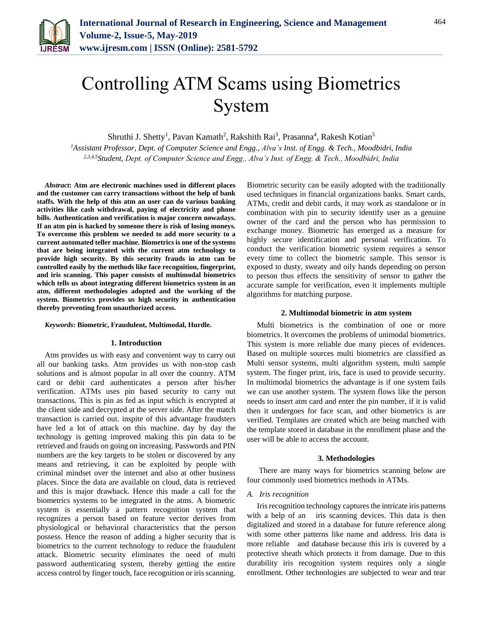

# Controlling ATM Scams using Biometrics System

Shruthi J. Shetty<sup>1</sup>, Pavan Kamath<sup>2</sup>, Rakshith Rai<sup>3</sup>, Prasanna<sup>4</sup>, Rakesh Kotian<sup>5</sup>

*<sup>1</sup>Assistant Professor, Dept. of Computer Science and Engg., Alva's Inst. of Engg. & Tech., Moodbidri, India 2,3,4,5Student, Dept. of Computer Science and Engg., Alva's Inst. of Engg. & Tech., Moodbidri, India*

*Abstract***: Atm are electronic machines used in different places and the customer can carry transactions without the help of bank staffs. With the help of this atm an user can do various banking activities like cash withdrawal, paying of electricity and phone bills. Authentication and verification is major concern nowadays. If an atm pin is hacked by someone there is risk of losing moneys. To overcome this problem we needed to add more security to a current automated teller machine. Biometrics is one of the systems that are being integrated with the current atm technology to provide high security. By this security frauds in atm can be controlled easily by the methods like face recognition, fingerprint, and iris scanning. This paper consists of multimodal biometrics which tells us about integrating different biometrics system in an atm, different methodologies adopted and the working of the system. Biometrics provides us high security in authentication thereby preventing from unauthorized access.**

#### *Keywords***: Biometric, Fraudulent, Multimodal, Hurdle.**

#### **1. Introduction**

Atm provides us with easy and convenient way to carry out all our banking tasks. Atm provides us with non-stop cash solutions and is almost popular in all over the country. ATM card or debit card authenticates a person after his/her verification. ATMs uses pin based security to carry out transactions. This is pin as fed as input which is encrypted at the client side and decrypted at the server side. After the match transaction is carried out. inspite of this advantage fraudsters have led a lot of attack on this machine. day by day the technology is getting improved making this pin data to be retrieved and frauds on going on increasing. Passwords and PIN numbers are the key targets to be stolen or discovered by any means and retrieving, it can be exploited by people with criminal mindset over the internet and also at other business places. Since the data are available on cloud, data is retrieved and this is major drawback. Hence this made a call for the biometrics systems to be integrated in the atms. A biometric system is essentially a pattern recognition system that recognizes a person based on feature vector derives from physiological or behavioral characteristics that the person possess. Hence the reason of adding a higher security that is biometrics to the current technology to reduce the fraudulent attack. Biometric security eliminates the need of multi password authenticating system, thereby getting the entire access control by finger touch, face recognition or iris scanning.

Biometric security can be easily adopted with the traditionally used techniques in financial organizations banks. Smart cards, ATMs, credit and debit cards, it may work as standalone or in combination with pin to security identify user as a genuine owner of the card and the person who has permission to exchange money. Biometric has emerged as a measure for highly secure identification and personal verification. To conduct the verification biometric system requires a sensor every time to collect the biometric sample. This sensor is exposed to dusty, sweaty and oily hands depending on person to person thus effects the sensitivity of sensor to gather the accurate sample for verification, even it implements multiple algorithms for matching purpose.

#### **2. Multimodal biometric in atm system**

Multi biometrics is the combination of one or more biometrics. It overcomes the problems of unimodal biometrics. This system is more reliable due many pieces of evidences. Based on multiple sources multi biometrics are classified as Multi sensor systems, multi algorithm system, multi sample system. The finger print, iris, face is used to provide security. In multimodal biometrics the advantage is if one system fails we can use another system. The system flows like the person needs to insert atm card and enter the pin number, if it is valid then it undergoes for face scan, and other biometrics is are verified. Templates are created which are being matched with the template stored in database in the enrollment phase and the user will be able to access the account.

#### **3. Methodologies**

 There are many ways for biometrics scanning below are four commonly used biometrics methods in ATMs.

#### *A. Iris recognition*

Iris recognition technology captures the intricate iris patterns with a help of an iris scanning devices. This data is then digitalized and stored in a database for future reference along with some other patterns like name and address. Iris data is more reliable and database because this iris is covered by a protective sheath which protects it from damage. Due to this durability iris recognition system requires only a single enrollment. Other technologies are subjected to wear and tear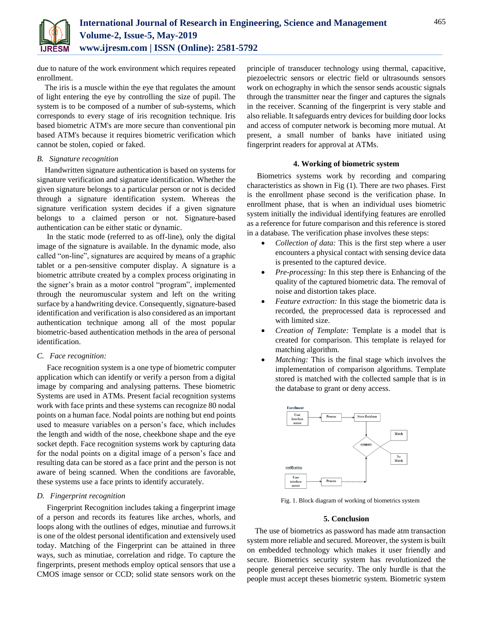

due to nature of the work environment which requires repeated enrollment.

The iris is a muscle within the eye that regulates the amount of light entering the eye by controlling the size of pupil. The system is to be composed of a number of sub-systems, which corresponds to every stage of iris recognition technique. Iris based biometric ATM's are more secure than conventional pin based ATM's because it requires biometric verification which cannot be stolen, copied or faked.

## *B. Signature recognition*

Handwritten signature authentication is based on systems for signature verification and signature identification. Whether the given signature belongs to a particular person or not is decided through a signature identification system. Whereas the signature verification system decides if a given signature belongs to a claimed person or not. Signature-based authentication can be either static or dynamic.

In the static mode (referred to as off-line), only the digital image of the signature is available. In the dynamic mode, also called "on-line", signatures are acquired by means of a graphic tablet or a pen-sensitive computer display. A signature is a biometric attribute created by a complex process originating in the signer's brain as a motor control "program", implemented through the neuromuscular system and left on the writing surface by a handwriting device. Consequently, signature-based identification and verification is also considered as an important authentication technique among all of the most popular biometric-based authentication methods in the area of personal identification.

# *C. Face recognition:*

Face recognition system is a one type of biometric computer application which can identify or verify a person from a digital image by comparing and analysing patterns. These biometric Systems are used in ATMs. Present facial recognition systems work with face prints and these systems can recognize 80 nodal points on a human face. Nodal points are nothing but end points used to measure variables on a person's face, which includes the length and width of the nose, cheekbone shape and the eye socket depth. Face recognition systems work by capturing data for the nodal points on a digital image of a person's face and resulting data can be stored as a face print and the person is not aware of being scanned. When the conditions are favorable, these systems use a face prints to identify accurately.

# *D. Fingerprint recognition*

Fingerprint Recognition includes taking a fingerprint image of a person and records its features like arches, whorls, and loops along with the outlines of edges, minutiae and furrows.it is one of the oldest personal identification and extensively used today. Matching of the Fingerprint can be attained in three ways, such as minutiae, correlation and ridge. To capture the fingerprints, present methods employ optical sensors that use a CMOS image sensor or CCD; solid state sensors work on the

principle of transducer technology using thermal, capacitive, piezoelectric sensors or electric field or ultrasounds sensors work on echography in which the sensor sends acoustic signals through the transmitter near the finger and captures the signals in the receiver. Scanning of the fingerprint is very stable and also reliable. It safeguards entry devices for building door locks and access of computer network is becoming more mutual. At present, a small number of banks have initiated using fingerprint readers for approval at ATMs.

## **4. Working of biometric system**

Biometrics systems work by recording and comparing characteristics as shown in Fig (1). There are two phases. First is the enrollment phase second is the verification phase. In enrollment phase, that is when an individual uses biometric system initially the individual identifying features are enrolled as a reference for future comparison and this reference is stored in a database. The verification phase involves these steps:

- *Collection of data:* This is the first step where a user encounters a physical contact with sensing device data is presented to the captured device.
- *Pre-processing:* In this step there is Enhancing of the quality of the captured biometric data. The removal of noise and distortion takes place.
- *Feature extraction:* In this stage the biometric data is recorded, the preprocessed data is reprocessed and with limited size.
- *Creation of Template:* Template is a model that is created for comparison. This template is relayed for matching algorithm.
- *Matching:* This is the final stage which involves the implementation of comparison algorithms. Template stored is matched with the collected sample that is in the database to grant or deny access.



Fig. 1. Block diagram of working of biometrics system

# **5. Conclusion**

The use of biometrics as password has made atm transaction system more reliable and secured. Moreover, the system is built on embedded technology which makes it user friendly and secure. Biometrics security system has revolutionized the people general perceive security. The only hurdle is that the people must accept theses biometric system. Biometric system